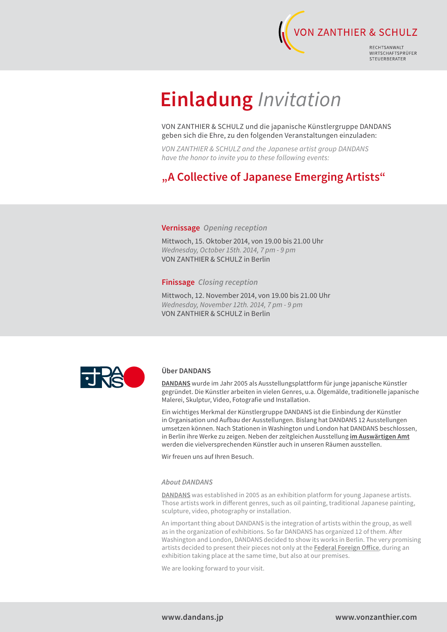

# **Einladung** *Invitation*

VON ZANTHIER & SCHULZ und die japanische Künstlergruppe DANDANS geben sich die Ehre, zu den folgenden Veranstaltungen einzuladen:

*VON ZANTHIER & SCHULZ and the Japanese artist group DANDANS have the honor to invite you to these following events:*

## **"A Collective of Japanese Emerging Artists"**

### **Vernissage** *Opening reception*

Mittwoch, 15. Oktober 2014, von 19.00 bis 21.00 Uhr *Wednesday, October 15th. 2014, 7 pm - 9 pm* VON ZANTHIER & SCHULZ in Berlin

**Finissage** *Closing reception*

Mittwoch, 12. November 2014, von 19.00 bis 21.00 Uhr *Wednesday, November 12th. 2014, 7 pm - 9 pm* VON ZANTHIER & SCHULZ in Berlin



#### **Über DANDANS**

**[DANDANS](http://www.dandans.jp)** wurde im Jahr 2005 als Ausstellungsplattform für junge japanische Künstler gegründet. Die Künstler arbeiten in vielen Genres, u.a. Ölgemälde, traditionelle japanische Malerei, Skulptur, Video, Fotografie und Installation.

Ein wichtiges Merkmal der Künstlergruppe DANDANS ist die Einbindung der Künstler in Organisation und Aufbau der Ausstellungen. Bislang hat DANDANS 12 Ausstellungen umsetzen können. Nach Stationen in Washington und London hat DANDANS beschlossen, in Berlin ihre Werke zu zeigen. Neben der zeitgleichen Ausstellung **[im Auswärtigen Amt](http://apwberlin.de/veranstaltungen/ausstellung-thinking-of-energy-from-the-experience-of-fukushima/)** werden die vielversprechenden Künstler auch in unseren Räumen ausstellen.

Wir freuen uns auf Ihren Besuch.

#### *About DANDANS*

**[DANDANS](http://www.dandans.jp)** was established in 2005 as an exhibition platform for young Japanese artists. Those artists work in different genres, such as oil painting, traditional Japanese painting, sculpture, video, photography or installation.

An important thing about DANDANS is the integration of artists within the group, as well as in the organization of exhibitions. So far DANDANS has organized 12 of them. After Washington and London, DANDANS decided to show its works in Berlin. The very promising artists decided to present their pieces not only at the **[Federal Foreign Office](http://apwberlin.de/veranstaltungen/ausstellung-thinking-of-energy-from-the-experience-of-fukushima/)**, during an exhibition taking place at the same time, but also at our premises.

We are looking forward to your visit.